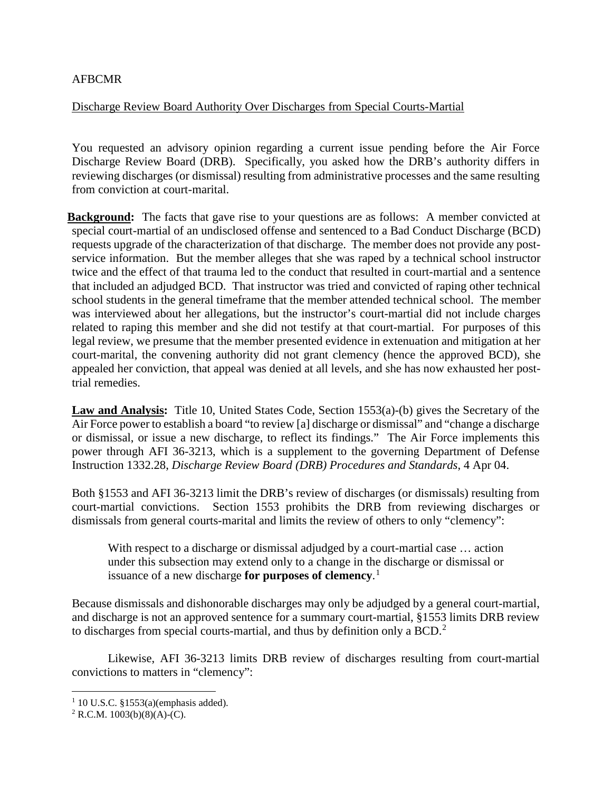## AFBCMR

## Discharge Review Board Authority Over Discharges from Special Courts-Martial

You requested an advisory opinion regarding a current issue pending before the Air Force Discharge Review Board (DRB). Specifically, you asked how the DRB's authority differs in reviewing discharges (or dismissal) resulting from administrative processes and the same resulting from conviction at court-marital.

**Background:** The facts that gave rise to your questions are as follows: A member convicted at special court-martial of an undisclosed offense and sentenced to a Bad Conduct Discharge (BCD) requests upgrade of the characterization of that discharge. The member does not provide any postservice information. But the member alleges that she was raped by a technical school instructor twice and the effect of that trauma led to the conduct that resulted in court-martial and a sentence that included an adjudged BCD. That instructor was tried and convicted of raping other technical school students in the general timeframe that the member attended technical school. The member was interviewed about her allegations, but the instructor's court-martial did not include charges related to raping this member and she did not testify at that court-martial. For purposes of this legal review, we presume that the member presented evidence in extenuation and mitigation at her court-marital, the convening authority did not grant clemency (hence the approved BCD), she appealed her conviction, that appeal was denied at all levels, and she has now exhausted her posttrial remedies.

**Law and Analysis:** Title 10, United States Code, Section 1553(a)-(b) gives the Secretary of the Air Force power to establish a board "to review [a] discharge or dismissal" and "change a discharge or dismissal, or issue a new discharge, to reflect its findings." The Air Force implements this power through AFI 36-3213, which is a supplement to the governing Department of Defense Instruction 1332.28, *Discharge Review Board (DRB) Procedures and Standards*, 4 Apr 04.

Both §1553 and AFI 36-3213 limit the DRB's review of discharges (or dismissals) resulting from court-martial convictions. Section 1553 prohibits the DRB from reviewing discharges or dismissals from general courts-marital and limits the review of others to only "clemency":

With respect to a discharge or dismissal adjudged by a court-martial case … action under this subsection may extend only to a change in the discharge or dismissal or issuance of a new discharge **for purposes of clemency**. [1](#page-0-0)

Because dismissals and dishonorable discharges may only be adjudged by a general court-martial, and discharge is not an approved sentence for a summary court-martial, §1553 limits DRB review to discharges from special courts-martial, and thus by definition only a BCD.<sup>[2](#page-0-1)</sup>

Likewise, AFI 36-3213 limits DRB review of discharges resulting from court-martial convictions to matters in "clemency":

<span id="page-0-0"></span> $1$  10 U.S.C. §1553(a)(emphasis added).

<span id="page-0-1"></span> $2$  R.C.M. 1003(b)(8)(A)-(C).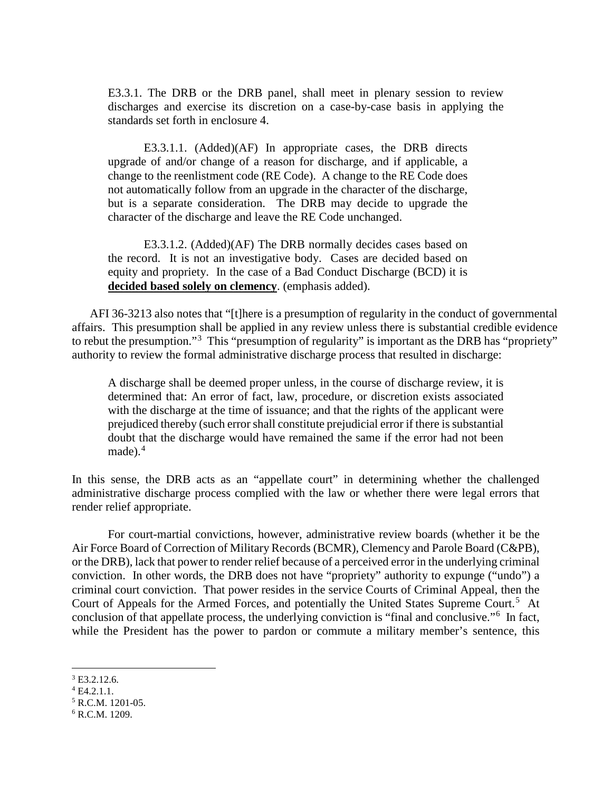E3.3.1. The DRB or the DRB panel, shall meet in plenary session to review discharges and exercise its discretion on a case-by-case basis in applying the standards set forth in enclosure 4.

E3.3.1.1. (Added)(AF) In appropriate cases, the DRB directs upgrade of and/or change of a reason for discharge, and if applicable, a change to the reenlistment code (RE Code). A change to the RE Code does not automatically follow from an upgrade in the character of the discharge, but is a separate consideration. The DRB may decide to upgrade the character of the discharge and leave the RE Code unchanged.

E3.3.1.2. (Added)(AF) The DRB normally decides cases based on the record. It is not an investigative body. Cases are decided based on equity and propriety. In the case of a Bad Conduct Discharge (BCD) it is **decided based solely on clemency**. (emphasis added).

AFI 36-3213 also notes that "[t]here is a presumption of regularity in the conduct of governmental affairs. This presumption shall be applied in any review unless there is substantial credible evidence to rebut the presumption."<sup>[3](#page-1-0)</sup> This "presumption of regularity" is important as the DRB has "propriety" authority to review the formal administrative discharge process that resulted in discharge:

A discharge shall be deemed proper unless, in the course of discharge review, it is determined that: An error of fact, law, procedure, or discretion exists associated with the discharge at the time of issuance; and that the rights of the applicant were prejudiced thereby (such error shall constitute prejudicial error if there is substantial doubt that the discharge would have remained the same if the error had not been made). [4](#page-1-1)

In this sense, the DRB acts as an "appellate court" in determining whether the challenged administrative discharge process complied with the law or whether there were legal errors that render relief appropriate.

For court-martial convictions, however, administrative review boards (whether it be the Air Force Board of Correction of Military Records (BCMR), Clemency and Parole Board (C&PB), or the DRB), lack that power to render relief because of a perceived error in the underlying criminal conviction. In other words, the DRB does not have "propriety" authority to expunge ("undo") a criminal court conviction. That power resides in the service Courts of Criminal Appeal, then the Court of Appeals for the Armed Forces, and potentially the United States Supreme Court.<sup>[5](#page-1-2)</sup> At conclusion of that appellate process, the underlying conviction is "final and conclusive."[6](#page-1-3) In fact, while the President has the power to pardon or commute a military member's sentence, this

<span id="page-1-0"></span> $3$  E3.2.12.6.

<span id="page-1-1"></span> $4$  E4.2.1.1.

<span id="page-1-2"></span><sup>5</sup> R.C.M. 1201-05.

<span id="page-1-3"></span> $6$  R.C.M. 1209.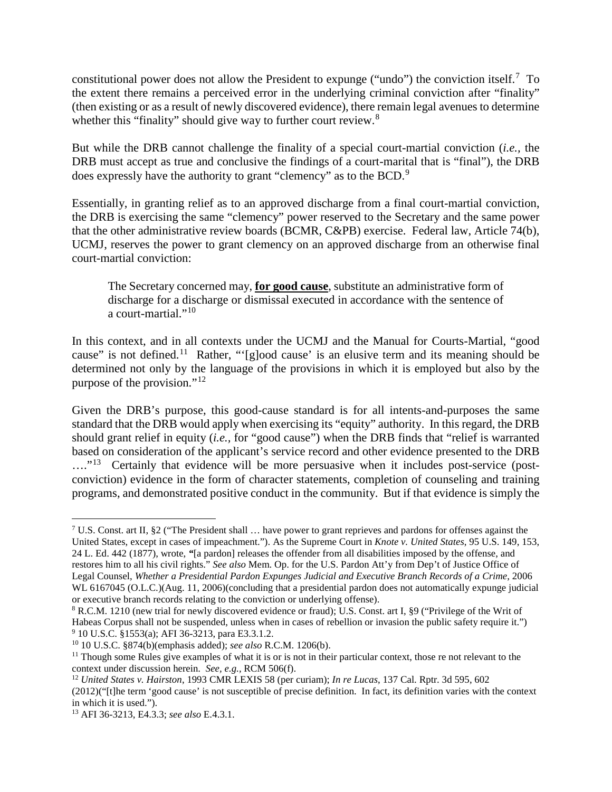constitutional power does not allow the President to expunge ("undo") the conviction itself.<sup>[7](#page-2-0)</sup> To the extent there remains a perceived error in the underlying criminal conviction after "finality" (then existing or as a result of newly discovered evidence), there remain legal avenues to determine whether this "finality" should give way to further court review.<sup>[8](#page-2-1)</sup>

But while the DRB cannot challenge the finality of a special court-martial conviction (*i.e.,* the DRB must accept as true and conclusive the findings of a court-marital that is "final"), the DRB does expressly have the authority to grant "clemency" as to the BCD.<sup>[9](#page-2-2)</sup>

Essentially, in granting relief as to an approved discharge from a final court-martial conviction, the DRB is exercising the same "clemency" power reserved to the Secretary and the same power that the other administrative review boards (BCMR, C&PB) exercise. Federal law, Article 74(b), UCMJ, reserves the power to grant clemency on an approved discharge from an otherwise final court-martial conviction:

The Secretary concerned may, **for good cause**, substitute an administrative form of discharge for a discharge or dismissal executed in accordance with the sentence of a court-martial."<sup>10</sup>

In this context, and in all contexts under the UCMJ and the Manual for Courts-Martial, "good cause" is not defined.[11](#page-2-4) Rather, "'[g]ood cause' is an elusive term and its meaning should be determined not only by the language of the provisions in which it is employed but also by the purpose of the provision."[12](#page-2-5)

Given the DRB's purpose, this good-cause standard is for all intents-and-purposes the same standard that the DRB would apply when exercising its "equity" authority. In this regard, the DRB should grant relief in equity (*i.e.,* for "good cause") when the DRB finds that "relief is warranted based on consideration of the applicant's service record and other evidence presented to the DRB ...."<sup>[13](#page-2-6)</sup> Certainly that evidence will be more persuasive when it includes post-service (postconviction) evidence in the form of character statements, completion of counseling and training programs, and demonstrated positive conduct in the community. But if that evidence is simply the

<span id="page-2-0"></span><sup>&</sup>lt;sup>7</sup> U.S. Const. art II, §2 ("The President shall  $\ldots$  have power to grant reprieves and pardons for offenses against the United States, except in cases of impeachment."). As the Supreme Court in *Knote v. United States*, 95 U.S. 149, 153, 24 L. Ed. 442 (1877), wrote, *"*[a pardon] releases the offender from all disabilities imposed by the offense, and restores him to all his civil rights." *See also* Mem. Op. for the U.S. Pardon Att'y from Dep't of Justice Office of Legal Counsel, *Whether a Presidential Pardon Expunges Judicial and Executive Branch Records of a Crime*, 2006 WL 6167045 (O.L.C.)(Aug. 11, 2006)(concluding that a presidential pardon does not automatically expunge judicial or executive branch records relating to the conviction or underlying offense).

<span id="page-2-1"></span><sup>8</sup> R.C.M. 1210 (new trial for newly discovered evidence or fraud); U.S. Const. art I, §9 ("Privilege of the Writ of Habeas Corpus shall not be suspended, unless when in cases of rebellion or invasion the public safety require it.") <sup>9</sup> 10 U.S.C. §1553(a); AFI 36-3213, para E3.3.1.2.

<span id="page-2-3"></span><span id="page-2-2"></span><sup>10</sup> 10 U.S.C. §874(b)(emphasis added); *see also* R.C.M. 1206(b).

<span id="page-2-4"></span> $11$  Though some Rules give examples of what it is or is not in their particular context, those re not relevant to the context under discussion herein. *See, e.g.,* RCM 506(f).

<span id="page-2-5"></span><sup>12</sup> *United States v. Hairston*, 1993 CMR LEXIS 58 (per curiam); *In re Lucas*, 137 Cal. Rptr. 3d 595, 602 (2012)("[t]he term 'good cause' is not susceptible of precise definition. In fact, its definition varies with the context in which it is used.").

<span id="page-2-6"></span><sup>13</sup> AFI 36-3213, E4.3.3; *see also* E.4.3.1.